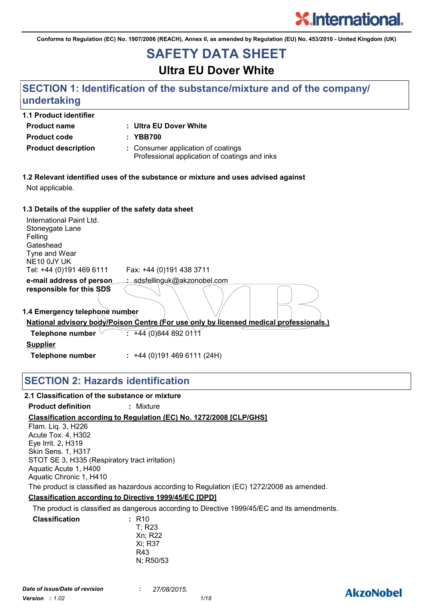

**AkzoNobel** 

**Conforms to Regulation (EC) No. 1907/2006 (REACH), Annex II, as amended by Regulation (EU) No. 453/2010 - United Kingdom (UK)**

## **SAFETY DATA SHEET**

## **Ultra EU Dover White**

## **SECTION 1: Identification of the substance/mixture and of the company/ undertaking**

| <b>1.1 Product identifier</b> |                                                                                     |
|-------------------------------|-------------------------------------------------------------------------------------|
| <b>Product name</b>           | : Ultra EU Dover White                                                              |
| <b>Product code</b>           | : YBB700                                                                            |
| <b>Product description</b>    | : Consumer application of coatings<br>Professional application of coatings and inks |

**1.2 Relevant identified uses of the substance or mixture and uses advised against** Not applicable.

#### **1.3 Details of the supplier of the safety data sheet**

| <b>1.3 Details Of the Supplier Of the Salety data Sheet</b>                                                     |                                                                                               |
|-----------------------------------------------------------------------------------------------------------------|-----------------------------------------------------------------------------------------------|
| International Paint Ltd.<br>Stoneygate Lane<br>Felling<br>Gateshead<br>Tyne and Wear<br>NE <sub>10</sub> OJY UK |                                                                                               |
| Tel: +44 (0)191 469 6111                                                                                        | Fax: +44 (0)191 438 3711                                                                      |
| e-mail address of person                                                                                        | : sdsfellinguk@akzonobel.com                                                                  |
| responsible for this SDS                                                                                        |                                                                                               |
| 1.4 Emergency telephone number                                                                                  |                                                                                               |
|                                                                                                                 | <u>National advisory body/Poison Centre (For use only by licensed medical professionals.)</u> |
| Telephone number                                                                                                | $\frac{1}{2}$ +44 (0)844 892 0111                                                             |
| <b>Supplier</b>                                                                                                 |                                                                                               |
| Telephone number                                                                                                | $: +44(0)1914696111(24H)$                                                                     |

## **SECTION 2: Hazards identification**

#### **Classification according to Regulation (EC) No. 1272/2008 [CLP/GHS] 2.1 Classification of the substance or mixture Product definition :** Mixture **Classification according to Directive 1999/45/EC [DPD]** Flam. Liq. 3, H226 Acute Tox. 4, H302 Eye Irrit. 2, H319 Skin Sens. 1, H317 STOT SE 3, H335 (Respiratory tract irritation) Aquatic Acute 1, H400 Aquatic Chronic 1, H410 The product is classified as hazardous according to Regulation (EC) 1272/2008 as amended. The product is classified as dangerous according to Directive 1999/45/EC and its amendments. **Classification** T; R23 Xn; R22 Xi; R37 R43 **:**

N; R50/53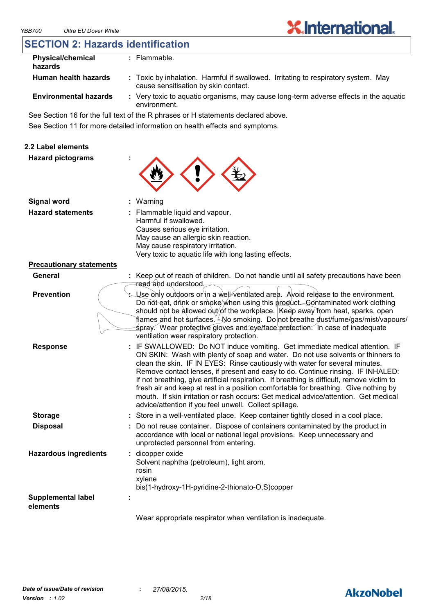## **SECTION 2: Hazards identification**

| <b>Physical/chemical</b><br>hazards | : Flammable.                                                                                                               |
|-------------------------------------|----------------------------------------------------------------------------------------------------------------------------|
| Human health hazards                | : Toxic by inhalation. Harmful if swallowed. Irritating to respiratory system. May<br>cause sensitisation by skin contact. |
| <b>Environmental hazards</b>        | : Very toxic to aguatic organisms, may cause long-term adverse effects in the aguatic<br>environment.                      |

See Section 16 for the full text of the R phrases or H statements declared above.

See Section 11 for more detailed information on health effects and symptoms.

#### **2.2 Label elements**

| <b>Hazard pictograms</b> | ÷                                                                                         |
|--------------------------|-------------------------------------------------------------------------------------------|
| <b>Signal word</b>       | : Warning                                                                                 |
| <b>Hazard statements</b> | : Flammable liquid and vapour.<br>Harmful if swallowed.<br>Causes serious eye irritation. |

| <b>Precautionary statements</b> |  |
|---------------------------------|--|
|---------------------------------|--|

| General           | Keep out of reach of children. Do not handle until all safety precautions have been     |
|-------------------|-----------------------------------------------------------------------------------------|
|                   | ∍ <del>ح. read</del> and <del>understood</del>                                          |
| <b>Prevention</b> | $\sim$ Use only outdoors or in a well-ventilated area. Avoid release to the environment |

Very toxic to aquatic life with long lasting effects.

May cause an allergic skin reaction. May cause respiratory irritation.

| tion | Stephending Use only outdoors or in a well-ventilated area. Avoid release to the environment. |
|------|-----------------------------------------------------------------------------------------------|
|      | Do not eat, drink or smoke when using this product. Contaminated work clothing                |
|      | should not be allowed out/of the workplace. Keep away from heat, sparks, open                 |
|      | Tlames and hot surfaces. ∠No smoking. Do not breathe dust/fume/gas/mist/vapours/              |
|      | spray. Wear protective gloves and eye/face protection. In case of inadequate                  |
|      | ventilation wear respiratory protection.                                                      |
|      |                                                                                               |

- **Response : Storage :** : IF SWALLOWED: Do NOT induce vomiting. Get immediate medical attention. IF ON SKIN: Wash with plenty of soap and water. Do not use solvents or thinners to clean the skin. IF IN EYES: Rinse cautiously with water for several minutes. Remove contact lenses, if present and easy to do. Continue rinsing. IF INHALED: If not breathing, give artificial respiration. If breathing is difficult, remove victim to fresh air and keep at rest in a position comfortable for breathing. Give nothing by mouth. If skin irritation or rash occurs: Get medical advice/attention. Get medical advice/attention if you feel unwell. Collect spillage. : Store in a well-ventilated place. Keep container tightly closed in a cool place.
- **Disposal :** Do not reuse container. Dispose of containers contaminated by the product in accordance with local or national legal provisions. Keep unnecessary and unprotected personnel from entering.

| <b>Hazardous ingredients</b>          | : dicopper oxide<br>Solvent naphtha (petroleum), light arom.<br>rosin<br>xylene<br>bis(1-hydroxy-1H-pyridine-2-thionato-O,S)copper |  |
|---------------------------------------|------------------------------------------------------------------------------------------------------------------------------------|--|
| <b>Supplemental label</b><br>elements | ٠                                                                                                                                  |  |
|                                       |                                                                                                                                    |  |

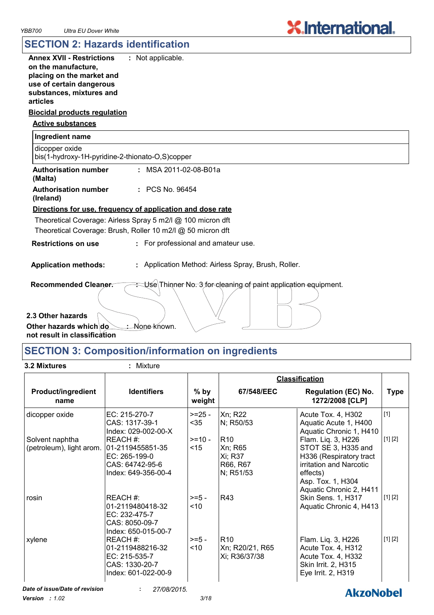**AkzoNobel** 

## **SECTION 2: Hazards identification**

| <b>Annex XVII - Restrictions</b><br>on the manufacture,<br>placing on the market and<br>use of certain dangerous | : Not applicable.                                              |
|------------------------------------------------------------------------------------------------------------------|----------------------------------------------------------------|
| substances, mixtures and<br>articles                                                                             |                                                                |
| <b>Biocidal products regulation</b>                                                                              |                                                                |
| <b>Active substances</b>                                                                                         |                                                                |
| Ingredient name                                                                                                  |                                                                |
| dicopper oxide<br>bis(1-hydroxy-1H-pyridine-2-thionato-O,S)copper                                                |                                                                |
| <b>Authorisation number</b><br>(Malta)                                                                           | : MSA 2011-02-08-B01a                                          |
| <b>Authorisation number</b><br>(Ireland)                                                                         | : PCS No. 96454                                                |
|                                                                                                                  | Directions for use, frequency of application and dose rate     |
|                                                                                                                  | Theoretical Coverage: Airless Spray 5 m2/l @ 100 micron dft    |
|                                                                                                                  | Theoretical Coverage: Brush, Roller 10 m2/l @ 50 micron dft    |
| <b>Restrictions on use</b>                                                                                       | : For professional and amateur use.                            |
| <b>Application methods:</b>                                                                                      | : Application Method: Airless Spray, Brush, Roller.            |
| Recommended Cleaner.                                                                                             | Use Thinner No. 3 for cleaning of paint application equipment. |

**2.3 Other hazards**

Other hazards which do **not result in classification** : None known.

## **SECTION 3: Composition/information on ingredients**

## **3.2 Mixtures :** Mixture

|                                             |                                                                                         |                    | <b>Classification</b>                                                  |                                                                                                                                                             |             |
|---------------------------------------------|-----------------------------------------------------------------------------------------|--------------------|------------------------------------------------------------------------|-------------------------------------------------------------------------------------------------------------------------------------------------------------|-------------|
| <b>Product/ingredient</b><br>name           | <b>Identifiers</b>                                                                      | $%$ by<br>weight   | 67/548/EEC                                                             | <b>Regulation (EC) No.</b><br>1272/2008 [CLP]                                                                                                               | <b>Type</b> |
| dicopper oxide                              | EC: 215-270-7<br>CAS: 1317-39-1<br>Index: 029-002-00-X                                  | $>=25 -$<br>$35$   | Xn; R22<br>N; R50/53                                                   | Acute Tox. 4, H302<br>Aquatic Acute 1, H400<br>Aquatic Chronic 1, H410                                                                                      | $[1]$       |
| Solvent naphtha<br>(petroleum), light arom. | REACH#:<br>101-2119455851-35<br>EC: 265-199-0<br>CAS: 64742-95-6<br>Index: 649-356-00-4 | $>=10-$<br>$<$ 15  | R <sub>10</sub><br><b>Xn</b> ; R65<br>Xi; R37<br>R66, R67<br>N; R51/53 | Flam. Liq. 3, H226<br>STOT SE 3, H335 and<br>H336 (Respiratory tract<br>irritation and Narcotic<br>effects)<br>Asp. Tox. 1, H304<br>Aquatic Chronic 2, H411 | [1] [2]     |
| rosin                                       | REACH #:<br>01-2119480418-32<br>EC: 232-475-7<br>CAS: 8050-09-7<br>Index: 650-015-00-7  | $>= 5 -$<br>$<$ 10 | R43                                                                    | Skin Sens. 1, H317<br>Aquatic Chronic 4, H413                                                                                                               | [1] [2]     |
| xylene                                      | REACH#:<br>01-2119488216-32<br>EC: 215-535-7<br>CAS: 1330-20-7<br>Index: 601-022-00-9   | $>= 5 -$<br>~10    | R <sub>10</sub><br>Xn; R20/21, R65<br>Xi; R36/37/38                    | Flam. Liq. 3, H226<br>Acute Tox. 4, H312<br>Acute Tox. 4, H332<br>Skin Irrit. 2, H315<br>Eye Irrit. 2, H319                                                 | [1] [2]     |

*Date of issue/Date of revision* **:** *27/08/2015.*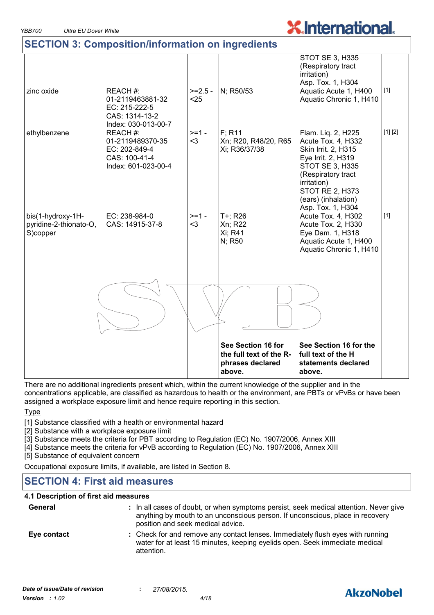## **SECTION 3: Composition/information on ingredients**

|                                                         |                                                                                                                                |                  | See Section 16 for<br>the full text of the R-<br>phrases declared<br>above. | See Section 16 for the<br>full text of the H<br>statements declared<br>above.                                                                                                                  |         |
|---------------------------------------------------------|--------------------------------------------------------------------------------------------------------------------------------|------------------|-----------------------------------------------------------------------------|------------------------------------------------------------------------------------------------------------------------------------------------------------------------------------------------|---------|
|                                                         |                                                                                                                                |                  |                                                                             |                                                                                                                                                                                                |         |
| bis(1-hydroxy-1H-<br>pyridine-2-thionato-O,<br>S)copper | EC: 238-984-0<br>CAS: 14915-37-8                                                                                               | $>=1 -$<br>$3$   | T+; R26<br>Xn; R22<br>Xi; R41<br>N; R50                                     | irritation)<br>STOT RE 2, H373<br>(ears) (inhalation)<br>Asp. Tox. 1, H304<br>Acute Tox. 4, H302<br>Acute Tox. 2, H330<br>Eye Dam. 1, H318<br>Aquatic Acute 1, H400<br>Aquatic Chronic 1, H410 | $[1]$   |
| ethylbenzene                                            | CAS: 1314-13-2<br>Index: 030-013-00-7<br>REACH #:<br>01-2119489370-35<br>EC: 202-849-4<br>CAS: 100-41-4<br>Index: 601-023-00-4 | $>=1 -$<br>$3$   | $F$ ; R <sub>11</sub><br>Xn; R20, R48/20, R65<br>Xi; R36/37/38              | Flam. Liq. 2, H225<br>Acute Tox. 4, H332<br>Skin Irrit. 2, H315<br>Eye Irrit. 2, H319<br><b>STOT SE 3, H335</b><br>(Respiratory tract                                                          | [1] [2] |
| zinc oxide                                              | REACH #:<br>01-2119463881-32<br>EC: 215-222-5                                                                                  | $>=2.5-$<br>$25$ | N; R50/53                                                                   | <b>STOT SE 3, H335</b><br>(Respiratory tract<br>irritation)<br>Asp. Tox. 1, H304<br>Aquatic Acute 1, H400<br>Aquatic Chronic 1, H410                                                           | $[1]$   |

There are no additional ingredients present which, within the current knowledge of the supplier and in the concentrations applicable, are classified as hazardous to health or the environment, are PBTs or vPvBs or have been assigned a workplace exposure limit and hence require reporting in this section.

#### Type

[1] Substance classified with a health or environmental hazard

- [2] Substance with a workplace exposure limit
- [3] Substance meets the criteria for PBT according to Regulation (EC) No. 1907/2006, Annex XIII
- [4] Substance meets the criteria for vPvB according to Regulation (EC) No. 1907/2006, Annex XIII

[5] Substance of equivalent concern

Occupational exposure limits, if available, are listed in Section 8.

## **SECTION 4: First aid measures**

#### **4.1 Description of first aid measures**

| General     | : In all cases of doubt, or when symptoms persist, seek medical attention. Never give<br>anything by mouth to an unconscious person. If unconscious, place in recovery<br>position and seek medical advice. |
|-------------|-------------------------------------------------------------------------------------------------------------------------------------------------------------------------------------------------------------|
| Eye contact | : Check for and remove any contact lenses. Immediately flush eyes with running<br>water for at least 15 minutes, keeping eyelids open. Seek immediate medical<br>attention.                                 |



## **AkzoNobel**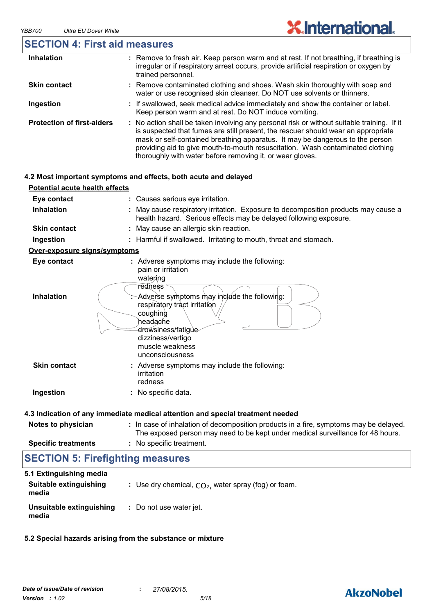

| <b>SECTION 4: First aid measures</b>  |                                                                                                                                                                                                                                                                                                                                                                                                                 |
|---------------------------------------|-----------------------------------------------------------------------------------------------------------------------------------------------------------------------------------------------------------------------------------------------------------------------------------------------------------------------------------------------------------------------------------------------------------------|
| <b>Inhalation</b>                     | : Remove to fresh air. Keep person warm and at rest. If not breathing, if breathing is<br>irregular or if respiratory arrest occurs, provide artificial respiration or oxygen by<br>trained personnel.                                                                                                                                                                                                          |
| <b>Skin contact</b>                   | Remove contaminated clothing and shoes. Wash skin thoroughly with soap and<br>water or use recognised skin cleanser. Do NOT use solvents or thinners.                                                                                                                                                                                                                                                           |
| Ingestion                             | : If swallowed, seek medical advice immediately and show the container or label.<br>Keep person warm and at rest. Do NOT induce vomiting.                                                                                                                                                                                                                                                                       |
| <b>Protection of first-aiders</b>     | : No action shall be taken involving any personal risk or without suitable training. If it<br>is suspected that fumes are still present, the rescuer should wear an appropriate<br>mask or self-contained breathing apparatus. It may be dangerous to the person<br>providing aid to give mouth-to-mouth resuscitation. Wash contaminated clothing<br>thoroughly with water before removing it, or wear gloves. |
|                                       | 4.2 Most important symptoms and effects, both acute and delayed                                                                                                                                                                                                                                                                                                                                                 |
| <b>Potential acute health effects</b> |                                                                                                                                                                                                                                                                                                                                                                                                                 |
| Eye contact                           | : Causes serious eye irritation.                                                                                                                                                                                                                                                                                                                                                                                |
| <b>Inhalation</b>                     | May cause respiratory irritation. Exposure to decomposition products may cause a<br>health hazard. Serious effects may be delayed following exposure.                                                                                                                                                                                                                                                           |
| <b>Skin contact</b>                   | May cause an allergic skin reaction.                                                                                                                                                                                                                                                                                                                                                                            |
| Ingestion                             | : Harmful if swallowed. Irritating to mouth, throat and stomach.                                                                                                                                                                                                                                                                                                                                                |
| Over-exposure signs/symptoms          |                                                                                                                                                                                                                                                                                                                                                                                                                 |
| Eye contact                           | : Adverse symptoms may include the following:<br>pain or irritation<br>watering                                                                                                                                                                                                                                                                                                                                 |
| <b>Inhalation</b>                     | $\mathop{\mathsf{redness}}\nolimits$<br>Adverse symptoms may include the following:<br>respiratory tract irritation<br>coughing<br>headache<br>drowsiness/fatigue<br>dizziness/vertigo<br>muscle weakness<br>unconsciousness                                                                                                                                                                                    |
| <b>Skin contact</b>                   | : Adverse symptoms may include the following:<br>irritation<br>redness                                                                                                                                                                                                                                                                                                                                          |
| Ingestion                             | : No specific data.                                                                                                                                                                                                                                                                                                                                                                                             |
|                                       | 4.3 Indication of any immediate medical attention and special treatment needed                                                                                                                                                                                                                                                                                                                                  |
| Notes to physician                    | : In case of inhalation of decomposition products in a fire, symptoms may be delayed.<br>The exposed person may need to be kept under medical surveillance for 48 hours.                                                                                                                                                                                                                                        |
| <b>Specific treatments</b>            | : No specific treatment.                                                                                                                                                                                                                                                                                                                                                                                        |

## **SECTION 5: Firefighting measures**

| 5.1 Extinguishing media           |                                                        |
|-----------------------------------|--------------------------------------------------------|
| Suitable extinguishing<br>media   | : Use dry chemical, $CO2$ , water spray (fog) or foam. |
| Unsuitable extinguishing<br>media | : Do not use water jet.                                |

#### **5.2 Special hazards arising from the substance or mixture**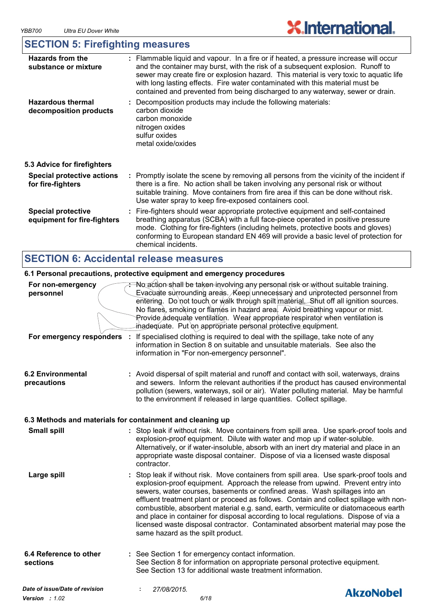## **SECTION 5: Firefighting measures**

| <b>Hazards from the</b><br>substance or mixture          | : Flammable liquid and vapour. In a fire or if heated, a pressure increase will occur<br>and the container may burst, with the risk of a subsequent explosion. Runoff to<br>sewer may create fire or explosion hazard. This material is very toxic to aquatic life<br>with long lasting effects. Fire water contaminated with this material must be<br>contained and prevented from being discharged to any waterway, sewer or drain. |
|----------------------------------------------------------|---------------------------------------------------------------------------------------------------------------------------------------------------------------------------------------------------------------------------------------------------------------------------------------------------------------------------------------------------------------------------------------------------------------------------------------|
| <b>Hazardous thermal</b><br>decomposition products       | : Decomposition products may include the following materials:<br>carbon dioxide<br>carbon monoxide<br>nitrogen oxides<br>sulfur oxides<br>metal oxide/oxides                                                                                                                                                                                                                                                                          |
| 5.3 Advice for firefighters                              |                                                                                                                                                                                                                                                                                                                                                                                                                                       |
| <b>Special protective actions</b><br>for fire-fighters   | : Promptly isolate the scene by removing all persons from the vicinity of the incident if<br>there is a fire. No action shall be taken involving any personal risk or without<br>suitable training. Move containers from fire area if this can be done without risk.<br>Use water spray to keep fire-exposed containers cool.                                                                                                         |
| <b>Special protective</b><br>equipment for fire-fighters | : Fire-fighters should wear appropriate protective equipment and self-contained<br>breathing apparatus (SCBA) with a full face-piece operated in positive pressure<br>mode. Clothing for fire-fighters (including helmets, protective boots and gloves)<br>conforming to European standard EN 469 will provide a basic level of protection for<br>chemical incidents.                                                                 |
|                                                          |                                                                                                                                                                                                                                                                                                                                                                                                                                       |

## **SECTION 6: Accidental release measures**

## **6.1 Personal precautions, protective equipment and emergency procedures**

| For non-emergency<br>personnel<br>For emergency responders : | <b>: No action shall be taken involving any personal risk or without suitable training.</b><br>Evacuate surrounding areas. Keep unnecessary and unprotected personnel from<br>entering. Do not touch or walk through spilt material. Shut off all ignition sources.<br>No flares, smoking or flames in hazard area. Avoid breathing vapour or mist.<br>Provide adequate ventilation. Wear appropriate respirator when ventilation is<br>inadequate. Put on appropriate personal protective equipment.<br>If specialised clothing is required to deal with the spillage, take note of any<br>information in Section 8 on suitable and unsuitable materials. See also the<br>information in "For non-emergency personnel". |                  |
|--------------------------------------------------------------|--------------------------------------------------------------------------------------------------------------------------------------------------------------------------------------------------------------------------------------------------------------------------------------------------------------------------------------------------------------------------------------------------------------------------------------------------------------------------------------------------------------------------------------------------------------------------------------------------------------------------------------------------------------------------------------------------------------------------|------------------|
| <b>6.2 Environmental</b><br>precautions                      | : Avoid dispersal of spilt material and runoff and contact with soil, waterways, drains<br>and sewers. Inform the relevant authorities if the product has caused environmental<br>pollution (sewers, waterways, soil or air). Water polluting material. May be harmful<br>to the environment if released in large quantities. Collect spillage.                                                                                                                                                                                                                                                                                                                                                                          |                  |
|                                                              | 6.3 Methods and materials for containment and cleaning up                                                                                                                                                                                                                                                                                                                                                                                                                                                                                                                                                                                                                                                                |                  |
| <b>Small spill</b>                                           | : Stop leak if without risk. Move containers from spill area. Use spark-proof tools and<br>explosion-proof equipment. Dilute with water and mop up if water-soluble.<br>Alternatively, or if water-insoluble, absorb with an inert dry material and place in an<br>appropriate waste disposal container. Dispose of via a licensed waste disposal<br>contractor.                                                                                                                                                                                                                                                                                                                                                         |                  |
| Large spill                                                  | : Stop leak if without risk. Move containers from spill area. Use spark-proof tools and<br>explosion-proof equipment. Approach the release from upwind. Prevent entry into<br>sewers, water courses, basements or confined areas. Wash spillages into an<br>effluent treatment plant or proceed as follows. Contain and collect spillage with non-<br>combustible, absorbent material e.g. sand, earth, vermiculite or diatomaceous earth<br>and place in container for disposal according to local regulations. Dispose of via a<br>licensed waste disposal contractor. Contaminated absorbent material may pose the<br>same hazard as the spilt product.                                                               |                  |
| 6.4 Reference to other<br>sections                           | : See Section 1 for emergency contact information.<br>See Section 8 for information on appropriate personal protective equipment.<br>See Section 13 for additional waste treatment information.                                                                                                                                                                                                                                                                                                                                                                                                                                                                                                                          |                  |
| Date of issue/Date of revision<br><b>Version</b> : $1.02$    | 27/08/2015.<br>6/18                                                                                                                                                                                                                                                                                                                                                                                                                                                                                                                                                                                                                                                                                                      | <b>AkzoNobel</b> |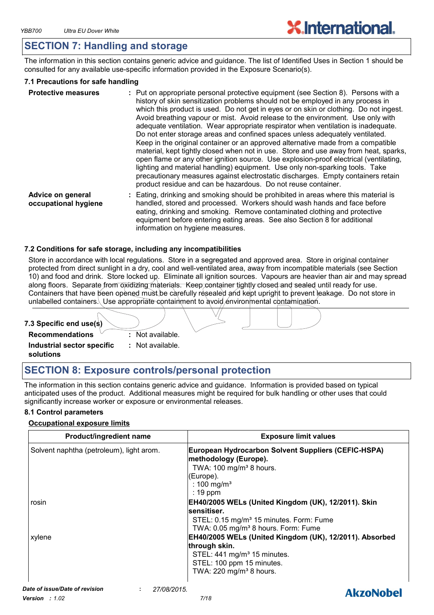## **SECTION 7: Handling and storage**

The information in this section contains generic advice and guidance. The list of Identified Uses in Section 1 should be consulted for any available use-specific information provided in the Exposure Scenario(s).

#### **7.1 Precautions for safe handling**

| <b>Protective measures</b>                | : Put on appropriate personal protective equipment (see Section 8). Persons with a<br>history of skin sensitization problems should not be employed in any process in<br>which this product is used. Do not get in eyes or on skin or clothing. Do not ingest.<br>Avoid breathing vapour or mist. Avoid release to the environment. Use only with<br>adequate ventilation. Wear appropriate respirator when ventilation is inadequate.<br>Do not enter storage areas and confined spaces unless adequately ventilated.<br>Keep in the original container or an approved alternative made from a compatible<br>material, kept tightly closed when not in use. Store and use away from heat, sparks,<br>open flame or any other ignition source. Use explosion-proof electrical (ventilating,<br>lighting and material handling) equipment. Use only non-sparking tools. Take<br>precautionary measures against electrostatic discharges. Empty containers retain<br>product residue and can be hazardous. Do not reuse container. |
|-------------------------------------------|----------------------------------------------------------------------------------------------------------------------------------------------------------------------------------------------------------------------------------------------------------------------------------------------------------------------------------------------------------------------------------------------------------------------------------------------------------------------------------------------------------------------------------------------------------------------------------------------------------------------------------------------------------------------------------------------------------------------------------------------------------------------------------------------------------------------------------------------------------------------------------------------------------------------------------------------------------------------------------------------------------------------------------|
| Advice on general<br>occupational hygiene | : Eating, drinking and smoking should be prohibited in areas where this material is<br>handled, stored and processed. Workers should wash hands and face before<br>eating, drinking and smoking. Remove contaminated clothing and protective<br>equipment before entering eating areas. See also Section 8 for additional<br>information on hygiene measures.                                                                                                                                                                                                                                                                                                                                                                                                                                                                                                                                                                                                                                                                    |

#### **7.2 Conditions for safe storage, including any incompatibilities**

Store in accordance with local regulations. Store in a segregated and approved area. Store in original container protected from direct sunlight in a dry, cool and well-ventilated area, away from incompatible materials (see Section 10) and food and drink. Store locked up. Eliminate all ignition sources. Vapours are heavier than air and may spread along floors. Separate from oxidizing materials. Keep container tightly closed and sealed until ready for use. Containers that have been opened must be carefully resealed and kept upright to prevent leakage. Do not store in unlabelled containers. Use appropriate containment to avoid environmental contamination.



## **SECTION 8: Exposure controls/personal protection**

The information in this section contains generic advice and guidance. Information is provided based on typical anticipated uses of the product. Additional measures might be required for bulk handling or other uses that could significantly increase worker or exposure or environmental releases.

#### **8.1 Control parameters**

#### **Occupational exposure limits**

| <b>Product/ingredient name</b>                | <b>Exposure limit values</b>                                                                                                                                                            |
|-----------------------------------------------|-----------------------------------------------------------------------------------------------------------------------------------------------------------------------------------------|
| Solvent naphtha (petroleum), light arom.      | European Hydrocarbon Solvent Suppliers (CEFIC-HSPA)<br>methodology (Europe).<br>TWA: $100 \text{ mg/m}^3$ 8 hours.<br>(Europe).<br>: 100 mg/m <sup>3</sup><br>$: 19$ ppm                |
| rosin                                         | EH40/2005 WELs (United Kingdom (UK), 12/2011). Skin<br>sensitiser.<br>STEL: 0.15 mg/m <sup>3</sup> 15 minutes. Form: Fume<br>TWA: 0.05 mg/m <sup>3</sup> 8 hours. Form: Fume            |
| xylene                                        | EH40/2005 WELs (United Kingdom (UK), 12/2011). Absorbed<br>through skin.<br>STEL: 441 mg/m <sup>3</sup> 15 minutes.<br>STEL: 100 ppm 15 minutes.<br>TWA: 220 mg/m <sup>3</sup> 8 hours. |
| Date of issue/Date of revision<br>27/08/2015. | A                                                                                                                                                                                       |

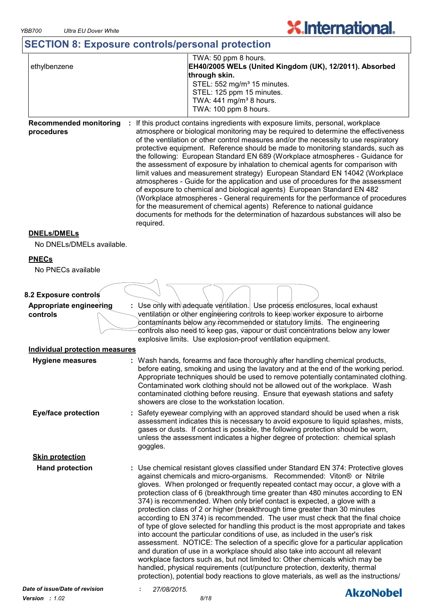## **SECTION 8: Exposure controls/personal protection**

| ethylbenzene | TWA: 50 ppm 8 hours.<br>EH40/2005 WELs (United Kingdom (UK), 12/2011). Absorbed |
|--------------|---------------------------------------------------------------------------------|
|              | through skin.                                                                   |
|              | STEL: 552 mg/m <sup>3</sup> 15 minutes.                                         |
|              | STEL: 125 ppm 15 minutes.                                                       |
|              | TWA: $441$ mg/m <sup>3</sup> 8 hours.                                           |
|              | TWA: 100 ppm 8 hours.                                                           |
|              |                                                                                 |

**X**.International.

**Recommended monitoring : If this product contains ingredients with exposure limits, personal, workplace procedures** atmosphere or biological monitoring may be required to determine the effectiveness of the ventilation or other control measures and/or the necessity to use respiratory protective equipment. Reference should be made to monitoring standards, such as the following: European Standard EN 689 (Workplace atmospheres - Guidance for the assessment of exposure by inhalation to chemical agents for comparison with limit values and measurement strategy) European Standard EN 14042 (Workplace atmospheres - Guide for the application and use of procedures for the assessment of exposure to chemical and biological agents) European Standard EN 482 (Workplace atmospheres - General requirements for the performance of procedures for the measurement of chemical agents) Reference to national guidance documents for methods for the determination of hazardous substances will also be required.

#### **DNELs/DMELs**

No DNELs/DMELs available.

#### **PNECs**

No PNECs available

#### **8.2 Exposure controls**

**Appropriate engineering controls :** Use only with adequate ventilation. Use process enclosures, local exhaust ventilation or other engineering controls to keep worker exposure to airborne contaminants below any recommended or statutory limits. The engineering controls also need to keep gas, vapour or dust concentrations below any lower explosive limits. Use explosion-proof ventilation equipment.

### **Individual protection measures**

| Hygiene measures               | : Wash hands, forearms and face thoroughly after handling chemical products,<br>before eating, smoking and using the lavatory and at the end of the working period.<br>Appropriate techniques should be used to remove potentially contaminated clothing.<br>Contaminated work clothing should not be allowed out of the workplace. Wash<br>contaminated clothing before reusing. Ensure that eyewash stations and safety<br>showers are close to the workstation location.                                                                                                                                                                                                                                                                                                                                                                                                                                                                                                                                                                                                                                                                                                               |  |
|--------------------------------|-------------------------------------------------------------------------------------------------------------------------------------------------------------------------------------------------------------------------------------------------------------------------------------------------------------------------------------------------------------------------------------------------------------------------------------------------------------------------------------------------------------------------------------------------------------------------------------------------------------------------------------------------------------------------------------------------------------------------------------------------------------------------------------------------------------------------------------------------------------------------------------------------------------------------------------------------------------------------------------------------------------------------------------------------------------------------------------------------------------------------------------------------------------------------------------------|--|
| <b>Eye/face protection</b>     | : Safety eyewear complying with an approved standard should be used when a risk<br>assessment indicates this is necessary to avoid exposure to liquid splashes, mists,<br>gases or dusts. If contact is possible, the following protection should be worn,<br>unless the assessment indicates a higher degree of protection: chemical splash<br>goggles.                                                                                                                                                                                                                                                                                                                                                                                                                                                                                                                                                                                                                                                                                                                                                                                                                                  |  |
| <b>Skin protection</b>         |                                                                                                                                                                                                                                                                                                                                                                                                                                                                                                                                                                                                                                                                                                                                                                                                                                                                                                                                                                                                                                                                                                                                                                                           |  |
| <b>Hand protection</b>         | : Use chemical resistant gloves classified under Standard EN 374: Protective gloves<br>against chemicals and micro-organisms. Recommended: Viton® or Nitrile<br>gloves. When prolonged or frequently repeated contact may occur, a glove with a<br>protection class of 6 (breakthrough time greater than 480 minutes according to EN<br>374) is recommended. When only brief contact is expected, a glove with a<br>protection class of 2 or higher (breakthrough time greater than 30 minutes<br>according to EN 374) is recommended. The user must check that the final choice<br>of type of glove selected for handling this product is the most appropriate and takes<br>into account the particular conditions of use, as included in the user's risk<br>assessment. NOTICE: The selection of a specific glove for a particular application<br>and duration of use in a workplace should also take into account all relevant<br>workplace factors such as, but not limited to: Other chemicals which may be<br>handled, physical requirements (cut/puncture protection, dexterity, thermal<br>protection), potential body reactions to glove materials, as well as the instructions/ |  |
| Date of issue/Date of revision | 27/08/2015.<br>AkzoNobel                                                                                                                                                                                                                                                                                                                                                                                                                                                                                                                                                                                                                                                                                                                                                                                                                                                                                                                                                                                                                                                                                                                                                                  |  |
|                                |                                                                                                                                                                                                                                                                                                                                                                                                                                                                                                                                                                                                                                                                                                                                                                                                                                                                                                                                                                                                                                                                                                                                                                                           |  |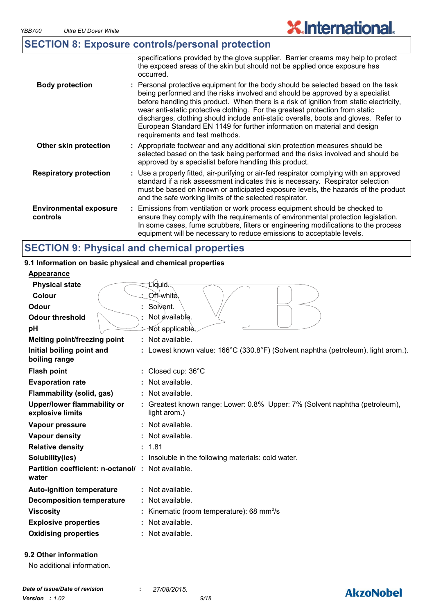## **SECTION 8: Exposure controls/personal protection**

|                                           | specifications provided by the glove supplier. Barrier creams may help to protect<br>the exposed areas of the skin but should not be applied once exposure has<br>occurred.                                                                                                                                                                                                                                                                                                                                                                          |
|-------------------------------------------|------------------------------------------------------------------------------------------------------------------------------------------------------------------------------------------------------------------------------------------------------------------------------------------------------------------------------------------------------------------------------------------------------------------------------------------------------------------------------------------------------------------------------------------------------|
| <b>Body protection</b>                    | : Personal protective equipment for the body should be selected based on the task<br>being performed and the risks involved and should be approved by a specialist<br>before handling this product. When there is a risk of ignition from static electricity,<br>wear anti-static protective clothing. For the greatest protection from static<br>discharges, clothing should include anti-static overalls, boots and gloves. Refer to<br>European Standard EN 1149 for further information on material and design<br>requirements and test methods. |
| Other skin protection                     | : Appropriate footwear and any additional skin protection measures should be<br>selected based on the task being performed and the risks involved and should be<br>approved by a specialist before handling this product.                                                                                                                                                                                                                                                                                                                            |
| <b>Respiratory protection</b>             | : Use a properly fitted, air-purifying or air-fed respirator complying with an approved<br>standard if a risk assessment indicates this is necessary. Respirator selection<br>must be based on known or anticipated exposure levels, the hazards of the product<br>and the safe working limits of the selected respirator.                                                                                                                                                                                                                           |
| <b>Environmental exposure</b><br>controls | : Emissions from ventilation or work process equipment should be checked to<br>ensure they comply with the requirements of environmental protection legislation.<br>In some cases, fume scrubbers, filters or engineering modifications to the process<br>equipment will be necessary to reduce emissions to acceptable levels.                                                                                                                                                                                                                      |

## **SECTION 9: Physical and chemical properties**

#### **9.1 Information on basic physical and chemical properties**

| <b>Appearance</b>                                                  |                                                                                             |
|--------------------------------------------------------------------|---------------------------------------------------------------------------------------------|
| <b>Physical state</b>                                              | Líquid <del>.</del>                                                                         |
| Colour                                                             | Off-white.                                                                                  |
| Odour                                                              | Solvent.                                                                                    |
| <b>Odour threshold</b>                                             | Not available.                                                                              |
| pH                                                                 | ∕ Not applicable                                                                            |
| Melting point/freezing point                                       | Not available.                                                                              |
| Initial boiling point and<br>boiling range                         | Lowest known value: 166°C (330.8°F) (Solvent naphtha (petroleum), light arom.).             |
| <b>Flash point</b>                                                 | Closed cup: 36°C                                                                            |
| <b>Evaporation rate</b>                                            | Not available.                                                                              |
| Flammability (solid, gas)                                          | $:$ Not available.                                                                          |
| <b>Upper/lower flammability or</b><br>explosive limits             | : Greatest known range: Lower: 0.8% Upper: 7% (Solvent naphtha (petroleum),<br>light arom.) |
| Vapour pressure                                                    | Not available.                                                                              |
| Vapour density                                                     | Not available.                                                                              |
| <b>Relative density</b>                                            | : 1.81                                                                                      |
| Solubility(ies)                                                    | Insoluble in the following materials: cold water.                                           |
| <b>Partition coefficient: n-octanol/ : Not available.</b><br>water |                                                                                             |
| <b>Auto-ignition temperature</b>                                   | Not available.                                                                              |
| <b>Decomposition temperature</b>                                   | $:$ Not available.                                                                          |
| <b>Viscosity</b>                                                   | Kinematic (room temperature): 68 mm <sup>2</sup> /s                                         |
| <b>Explosive properties</b>                                        | Not available.                                                                              |
| <b>Oxidising properties</b>                                        | Not available.                                                                              |
|                                                                    |                                                                                             |

**9.2 Other information**

## **AkzoNobel**

**X.International.**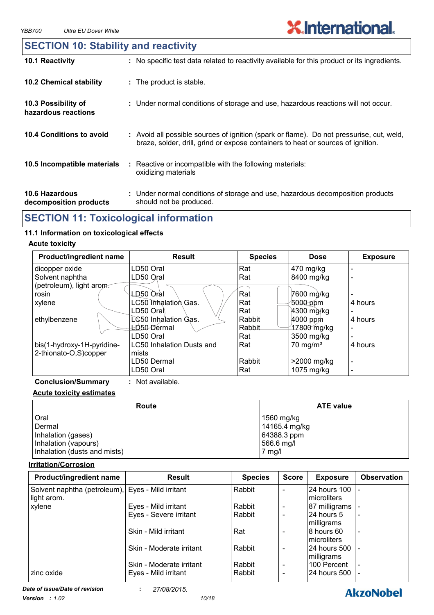**AkzoNobel** 

## **SECTION 10: Stability and reactivity**

| 10.1 Reactivity                                 | : No specific test data related to reactivity available for this product or its ingredients.                                                                                 |
|-------------------------------------------------|------------------------------------------------------------------------------------------------------------------------------------------------------------------------------|
| <b>10.2 Chemical stability</b>                  | : The product is stable.                                                                                                                                                     |
| 10.3 Possibility of<br>hazardous reactions      | : Under normal conditions of storage and use, hazardous reactions will not occur.                                                                                            |
| 10.4 Conditions to avoid                        | : Avoid all possible sources of ignition (spark or flame). Do not pressurise, cut, weld,<br>braze, solder, drill, grind or expose containers to heat or sources of ignition. |
| 10.5 Incompatible materials                     | : Reactive or incompatible with the following materials:<br>oxidizing materials                                                                                              |
| <b>10.6 Hazardous</b><br>decomposition products | : Under normal conditions of storage and use, hazardous decomposition products<br>should not be produced.                                                                    |

## **SECTION 11: Toxicological information**

### **11.1 Information on toxicological effects**

#### **Acute toxicity**

| <b>Product/ingredient name</b> | <b>Result</b>             | <b>Species</b> | <b>Dose</b>            | <b>Exposure</b> |
|--------------------------------|---------------------------|----------------|------------------------|-----------------|
| dicopper oxide                 | LD50 Oral                 | Rat            | 470 mg/kg              |                 |
| Solvent naphtha                | LD50 Oral                 | Rat            | 8400 mg/kg             |                 |
| (petroleum), light arom.       |                           |                |                        |                 |
| rosin                          | LD50 Oral                 | Rat            | 7600 mg/kg             |                 |
| xylene                         | LC50 Inhalation Gas.      | Rat            | 5000 ppm               | 4 hours         |
|                                | LD50 Oral                 | Rat            | 4300 mg/kg             |                 |
| ethylbenzene                   | LC50 Inhalation Gas.      | Rabbit         | $4000$ ppm             | 4 hours         |
|                                | ŁD50-Dermal               | Rabbit         | 47800 mg/kg            |                 |
|                                | LD50 Oral                 | Rat            | 3500 mg/kg             |                 |
| bis(1-hydroxy-1H-pyridine-     | LC50 Inhalation Dusts and | Rat            | $70$ mg/m <sup>3</sup> | 4 hours         |
| 2-thionato-O,S)copper          | mists                     |                |                        |                 |
|                                | LD50 Dermal               | Rabbit         | >2000 mg/kg            |                 |
|                                | LD50 Oral                 | Rat            | 1075 mg/kg             |                 |

**Conclusion/Summary :** Not available.

#### **Acute toxicity estimates**

| Route                        | <b>ATE value</b> |
|------------------------------|------------------|
| Oral                         | 1560 mg/kg       |
| Dermal                       | 14165.4 mg/kg    |
| Inhalation (gases)           | $ 64388.3$ ppm   |
| Inhalation (vapours)         | 566.6 mg/l       |
| Inhalation (dusts and mists) | $7$ mg/l         |

#### **Irritation/Corrosion**

| Product/ingredient name                                          | <b>Result</b>            | <b>Species</b> | <b>Score</b>             | <b>Exposure</b>                | <b>Observation</b>       |
|------------------------------------------------------------------|--------------------------|----------------|--------------------------|--------------------------------|--------------------------|
| Solvent naphtha (petroleum), Eyes - Mild irritant<br>light arom. |                          | Rabbit         |                          | 24 hours 100  -<br>microliters |                          |
| xylene                                                           | Eyes - Mild irritant     | Rabbit         | $\overline{\phantom{a}}$ | 87 milligrams                  |                          |
|                                                                  | Eyes - Severe irritant   | Rabbit         |                          | 24 hours 5<br>milligrams       | $\overline{\phantom{a}}$ |
|                                                                  | Skin - Mild irritant     | Rat            |                          | 8 hours 60<br>microliters      | $\overline{\phantom{a}}$ |
|                                                                  | Skin - Moderate irritant | Rabbit         |                          | I24 hours 500 I<br>milligrams  |                          |
|                                                                  | Skin - Moderate irritant | Rabbit         |                          | 100 Percent                    |                          |
| zinc oxide                                                       | Eyes - Mild irritant     | Rabbit         |                          | I24 hours 500 I -              |                          |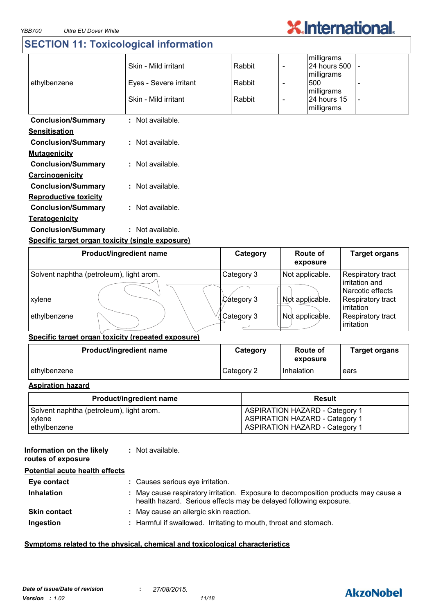## **SECTION 11: Toxicological information**

| ethylbenzene                 | Skin - Mild irritant<br>Eyes - Severe irritant<br>Skin - Mild irritant | Rabbit<br>Rabbit<br>Rabbit | milligrams<br>24 hours 500<br>milligrams<br>500<br>milligrams<br>24 hours 15<br>milligrams |  |
|------------------------------|------------------------------------------------------------------------|----------------------------|--------------------------------------------------------------------------------------------|--|
| <b>Conclusion/Summary</b>    | : Not available.                                                       |                            |                                                                                            |  |
| <b>Sensitisation</b>         |                                                                        |                            |                                                                                            |  |
| <b>Conclusion/Summary</b>    | : Not available.                                                       |                            |                                                                                            |  |
| <b>Mutagenicity</b>          |                                                                        |                            |                                                                                            |  |
| <b>Conclusion/Summary</b>    | : Not available.                                                       |                            |                                                                                            |  |
| Carcinogenicity              |                                                                        |                            |                                                                                            |  |
| <b>Conclusion/Summary</b>    | : Not available.                                                       |                            |                                                                                            |  |
| <b>Reproductive toxicity</b> |                                                                        |                            |                                                                                            |  |
| <b>Conclusion/Summary</b>    | : Not available.                                                       |                            |                                                                                            |  |
| <b>Teratogenicity</b>        |                                                                        |                            |                                                                                            |  |
| <b>Conclusion/Summary</b>    | : Not available.                                                       |                            |                                                                                            |  |

**X.International.** 

#### **Specific target organ toxicity (single exposure)**

| Product/ingredient name                  | Category   | Route of<br>exposure | <b>Target organs</b>                                |
|------------------------------------------|------------|----------------------|-----------------------------------------------------|
| Solvent naphtha (petroleum), light arom. | Category 3 | Not applicable.      | Respiratory tract<br>irritation and                 |
| xylene                                   | Category 3 | Not applicable.      | Narcotic effects<br>Respiratory tract<br>irritation |
| ethylbenzene                             | Category 3 | Not applicable.      | Respiratory tract<br>irritation                     |

### **Specific target organ toxicity (repeated exposure)**

| Product/ingredient name | Category   | Route of<br>exposure | <b>Target organs</b> |
|-------------------------|------------|----------------------|----------------------|
| ethylbenzene            | Category 2 | Inhalation           | ears                 |

#### **Aspiration hazard**

| Product/ingredient name                  | <b>Result</b>                         |
|------------------------------------------|---------------------------------------|
| Solvent naphtha (petroleum), light arom. | <b>ASPIRATION HAZARD - Category 1</b> |
| xylene                                   | <b>ASPIRATION HAZARD - Category 1</b> |
| ethylbenzene                             | <b>ASPIRATION HAZARD - Category 1</b> |

| Information on the likely<br>routes of exposure | : Not available.                                                                                                                                        |
|-------------------------------------------------|---------------------------------------------------------------------------------------------------------------------------------------------------------|
| <b>Potential acute health effects</b>           |                                                                                                                                                         |
| Eye contact                                     | : Causes serious eye irritation.                                                                                                                        |
| <b>Inhalation</b>                               | : May cause respiratory irritation. Exposure to decomposition products may cause a<br>health hazard. Serious effects may be delayed following exposure. |
| <b>Skin contact</b>                             | : May cause an allergic skin reaction.                                                                                                                  |
| Ingestion                                       | : Harmful if swallowed. Irritating to mouth, throat and stomach.                                                                                        |

#### **Symptoms related to the physical, chemical and toxicological characteristics**

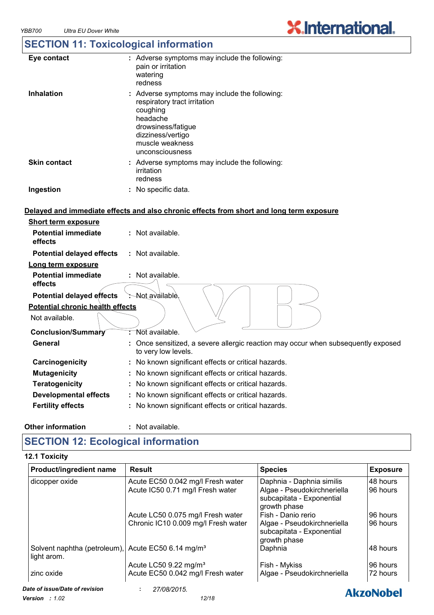## **SECTION 11: Toxicological information**

| Eye contact         | : Adverse symptoms may include the following:<br>pain or irritation<br>watering<br>redness                                                                                             |
|---------------------|----------------------------------------------------------------------------------------------------------------------------------------------------------------------------------------|
| <b>Inhalation</b>   | : Adverse symptoms may include the following:<br>respiratory tract irritation<br>coughing<br>headache<br>drowsiness/fatigue<br>dizziness/vertigo<br>muscle weakness<br>unconsciousness |
| <b>Skin contact</b> | : Adverse symptoms may include the following:<br>irritation<br>redness                                                                                                                 |
| Ingestion           | : No specific data.                                                                                                                                                                    |

#### **Delayed and immediate effects and also chronic effects from short and long term exposure**

| <b>Short term exposure</b>              |                                                                                                          |
|-----------------------------------------|----------------------------------------------------------------------------------------------------------|
| <b>Potential immediate</b><br>effects   | $:$ Not available.                                                                                       |
| <b>Potential delayed effects</b>        | : Not available.                                                                                         |
| Long term exposure                      |                                                                                                          |
| <b>Potential immediate</b><br>effects   | $:$ Not available.                                                                                       |
| <b>Potential delayed effects</b>        | -Not available.                                                                                          |
| <b>Potential chronic health effects</b> |                                                                                                          |
| Not available.                          |                                                                                                          |
| Conclusion/Summary                      | : Not available.                                                                                         |
| General                                 | : Once sensitized, a severe allergic reaction may occur when subsequently exposed<br>to very low levels. |
| Carcinogenicity                         | : No known significant effects or critical hazards.                                                      |
| <b>Mutagenicity</b>                     | : No known significant effects or critical hazards.                                                      |
| <b>Teratogenicity</b>                   | : No known significant effects or critical hazards.                                                      |
| <b>Developmental effects</b>            | : No known significant effects or critical hazards.                                                      |
| <b>Fertility effects</b>                | : No known significant effects or critical hazards.                                                      |
|                                         |                                                                                                          |

#### **Other information :**

: Not available.

## **SECTION 12: Ecological information**

#### **12.1 Toxicity**

| Product/ingredient name                                                       | <b>Result</b>                       | <b>Species</b>                                           | <b>Exposure</b>  |
|-------------------------------------------------------------------------------|-------------------------------------|----------------------------------------------------------|------------------|
| dicopper oxide                                                                | Acute EC50 0.042 mg/l Fresh water   | Daphnia - Daphnia similis                                | 48 hours         |
|                                                                               | Acute IC50 0.71 mg/l Fresh water    | Algae - Pseudokirchneriella<br>subcapitata - Exponential | 96 hours         |
|                                                                               |                                     | growth phase                                             |                  |
|                                                                               | Acute LC50 0.075 mg/l Fresh water   | Fish - Danio rerio                                       | 96 hours         |
|                                                                               | Chronic IC10 0.009 mg/l Fresh water | Algae - Pseudokirchneriella                              | 96 hours         |
|                                                                               |                                     | subcapitata - Exponential                                |                  |
|                                                                               |                                     | growth phase                                             |                  |
| Solvent naphtha (petroleum), Acute EC50 6.14 mg/m <sup>3</sup><br>light arom. |                                     | Daphnia                                                  | 48 hours         |
|                                                                               | Acute LC50 9.22 mg/m <sup>3</sup>   | Fish - Mykiss                                            | 96 hours         |
| zinc oxide                                                                    | Acute EC50 0.042 mg/l Fresh water   | Algae - Pseudokirchneriella                              | 72 hours         |
| Date of issue/Date of revision                                                | 27/08/2015.                         |                                                          | <b>AkzoNobel</b> |
| $\mathbf{r}$                                                                  | 10110                               |                                                          |                  |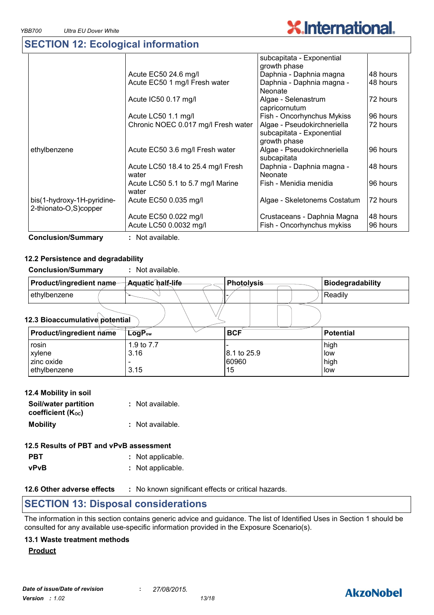## **SECTION 12: Ecological information**

|                                                     |                                             | subcapitata - Exponential                                                |          |
|-----------------------------------------------------|---------------------------------------------|--------------------------------------------------------------------------|----------|
|                                                     |                                             | growth phase                                                             |          |
|                                                     | Acute EC50 24.6 mg/l                        | Daphnia - Daphnia magna                                                  | 48 hours |
|                                                     | Acute EC50 1 mg/l Fresh water               | Daphnia - Daphnia magna -<br>Neonate                                     | 48 hours |
|                                                     | Acute IC50 0.17 mg/l                        | Algae - Selenastrum<br>capricornutum                                     | 72 hours |
|                                                     | Acute LC50 1.1 mg/l                         | Fish - Oncorhynchus Mykiss                                               | 96 hours |
|                                                     | Chronic NOEC 0.017 mg/l Fresh water         | Algae - Pseudokirchneriella<br>subcapitata - Exponential<br>growth phase | 72 hours |
| ethylbenzene                                        | Acute EC50 3.6 mg/l Fresh water             | Algae - Pseudokirchneriella<br>subcapitata                               | 96 hours |
|                                                     | Acute LC50 18.4 to 25.4 mg/l Fresh<br>water | Daphnia - Daphnia magna -<br><b>Neonate</b>                              | 48 hours |
|                                                     | Acute LC50 5.1 to 5.7 mg/l Marine<br>water  | Fish - Menidia menidia                                                   | 96 hours |
| bis(1-hydroxy-1H-pyridine-<br>2-thionato-O,S)copper | Acute EC50 0.035 mg/l                       | Algae - Skeletonems Costatum                                             | 72 hours |
|                                                     | Acute EC50 0.022 mg/l                       | Crustaceans - Daphnia Magna                                              | 48 hours |
|                                                     | Acute LC50 0.0032 mg/l                      | Fish - Oncorhynchus mykiss                                               | 96 hours |

**Conclusion/Summary :** Not available.

#### **12.2 Persistence and degradability**

| <b>Conclusion/Summary</b>      | Not available.    |                   |  |                         |
|--------------------------------|-------------------|-------------------|--|-------------------------|
| Product/ingredient name-       | Aquatic half-life | <b>Photolysis</b> |  | <b>Biodegradability</b> |
| ethylbenzene                   |                   |                   |  | Readily                 |
| 12.3 Bioaccumulative potential |                   |                   |  |                         |

#### **LogPow BCF Potential Product/ingredient name** rosin | 1.9 to 7.7 |- | high  $x$ ylene  $3.16$  3.16  $8.1$  to 25.9  $\vert$  low zinc oxide |- |60960 |high ethylbenzene 3.15 and 3.15 and 3.15 and 4.15 and 4.15 and 4.15 and 4.15 and 4.15 and 4.15 and 4.15 and 4.15 and 4.15 and 4.15 and 4.15 and 4.15 and 4.15 and 4.15 and 4.15 and 4.15 and 4.15 and 4.15 and 4.15 and 4.15 and 4.

| 12.4 Mobility in soil                     |                  |
|-------------------------------------------|------------------|
| Soil/water partition<br>coefficient (Koc) | : Not available. |
| <b>Mobility</b>                           | : Not available. |

## **12.5 Results of PBT and vPvB assessment**

- **PBT** : Not applicable.
- **vPvB :** Not applicable.

**12.6 Other adverse effects** : No known significant effects or critical hazards.

## **SECTION 13: Disposal considerations**

The information in this section contains generic advice and guidance. The list of Identified Uses in Section 1 should be consulted for any available use-specific information provided in the Exposure Scenario(s).

#### **13.1 Waste treatment methods**

**Product**



**X.International.**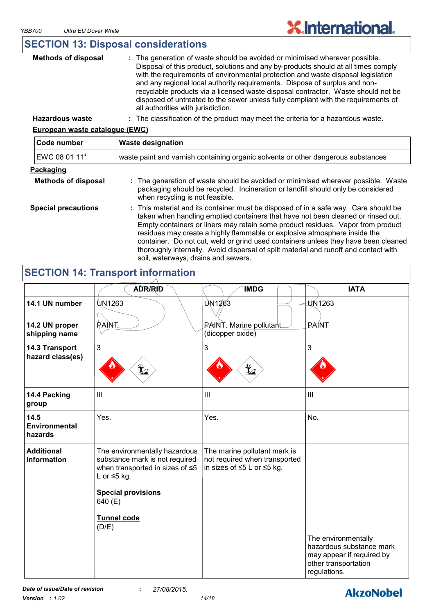## **SECTION 13: Disposal considerations**

| <b>Methods of disposal</b> | : The generation of waste should be avoided or minimised wherever possible.<br>Disposal of this product, solutions and any by-products should at all times comply<br>with the requirements of environmental protection and waste disposal legislation<br>and any regional local authority requirements. Dispose of surplus and non-<br>recyclable products via a licensed waste disposal contractor. Waste should not be<br>disposed of untreated to the sewer unless fully compliant with the requirements of<br>all authorities with jurisdiction. |
|----------------------------|------------------------------------------------------------------------------------------------------------------------------------------------------------------------------------------------------------------------------------------------------------------------------------------------------------------------------------------------------------------------------------------------------------------------------------------------------------------------------------------------------------------------------------------------------|
|                            |                                                                                                                                                                                                                                                                                                                                                                                                                                                                                                                                                      |

**Hazardous waste :** The classification of the product may meet the criteria for a hazardous waste.

#### **European waste catalogue (EWC)**

| Code number                | <b>Waste designation</b>                                                                                                                                                                                                                                                                                                                                                                                                                                                                                                                                     |  |  |
|----------------------------|--------------------------------------------------------------------------------------------------------------------------------------------------------------------------------------------------------------------------------------------------------------------------------------------------------------------------------------------------------------------------------------------------------------------------------------------------------------------------------------------------------------------------------------------------------------|--|--|
| EWC 08 01 11*              | waste paint and varnish containing organic solvents or other dangerous substances                                                                                                                                                                                                                                                                                                                                                                                                                                                                            |  |  |
| Packaging                  |                                                                                                                                                                                                                                                                                                                                                                                                                                                                                                                                                              |  |  |
| <b>Methods of disposal</b> | : The generation of waste should be avoided or minimised wherever possible. Waste<br>packaging should be recycled. Incineration or landfill should only be considered<br>when recycling is not feasible.                                                                                                                                                                                                                                                                                                                                                     |  |  |
| <b>Special precautions</b> | : This material and its container must be disposed of in a safe way. Care should be<br>taken when handling emptied containers that have not been cleaned or rinsed out.<br>Empty containers or liners may retain some product residues. Vapor from product<br>residues may create a highly flammable or explosive atmosphere inside the<br>container. Do not cut, weld or grind used containers unless they have been cleaned<br>thoroughly internally. Avoid dispersal of spilt material and runoff and contact with<br>soil, waterways, drains and sewers. |  |  |

## **SECTION 14: Transport information**

|                                         | <b>ADR/RID</b>                                                                                                                                                  | <b>IMDG</b>                                                                                 | <b>IATA</b>                                                                                                          |
|-----------------------------------------|-----------------------------------------------------------------------------------------------------------------------------------------------------------------|---------------------------------------------------------------------------------------------|----------------------------------------------------------------------------------------------------------------------|
| 14.1 UN number                          | <b>UN1263</b>                                                                                                                                                   | UN1263                                                                                      | $-\frac{1}{2}$ UN1263                                                                                                |
| 14.2 UN proper<br>shipping name         | PAINT                                                                                                                                                           | PAINT. Marine pollutant<br>(dicopper oxide)                                                 | <b>PAINT</b>                                                                                                         |
| 14.3 Transport<br>hazard class(es)      | 3                                                                                                                                                               | 3<br>$\mathbf{r}_{2}$                                                                       | 3                                                                                                                    |
| 14.4 Packing<br>group                   | III                                                                                                                                                             | III                                                                                         | $\mathbf{III}$                                                                                                       |
| 14.5<br><b>Environmental</b><br>hazards | Yes.                                                                                                                                                            | Yes.                                                                                        | No.                                                                                                                  |
| <b>Additional</b><br>information        | The environmentally hazardous<br>substance mark is not required<br>when transported in sizes of ≤5<br>L or $\leq$ 5 kg.<br><b>Special provisions</b><br>640 (E) | The marine pollutant mark is<br>not required when transported<br>in sizes of ≤5 L or ≤5 kg. |                                                                                                                      |
|                                         | <b>Tunnel code</b><br>(D/E)                                                                                                                                     |                                                                                             | The environmentally<br>hazardous substance mark<br>may appear if required by<br>other transportation<br>regulations. |

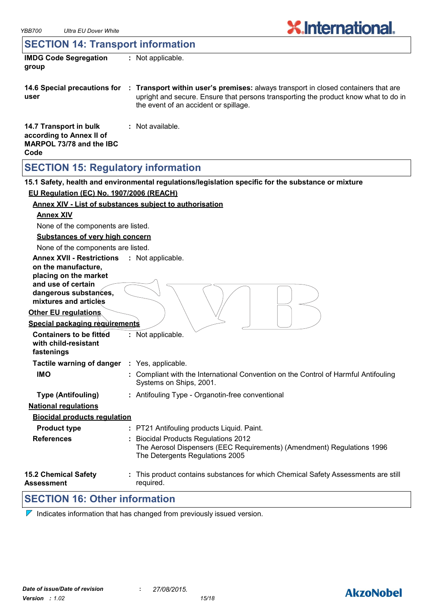## **SECTION 14: Transport information**

| <b>IMDG Code Segregation</b><br>group              | $:$ Not applicable.                                                                                                                                                                                                |
|----------------------------------------------------|--------------------------------------------------------------------------------------------------------------------------------------------------------------------------------------------------------------------|
| 14.6 Special precautions for<br>user               | : Transport within user's premises: always transport in closed containers that are<br>upright and secure. Ensure that persons transporting the product know what to do in<br>the event of an accident or spillage. |
| 14.7 Transport in bulk<br>according to Annex II of | : Not available.                                                                                                                                                                                                   |

# **SECTION 15: Regulatory information**

**MARPOL 73/78 and the IBC** 

**Code**

|                                                  | 15.1 Safety, health and environmental regulations/legislation specific for the substance or mixture            |
|--------------------------------------------------|----------------------------------------------------------------------------------------------------------------|
| EU Regulation (EC) No. 1907/2006 (REACH)         |                                                                                                                |
|                                                  | <b>Annex XIV - List of substances subject to authorisation</b>                                                 |
| <b>Annex XIV</b>                                 |                                                                                                                |
| None of the components are listed.               |                                                                                                                |
| <b>Substances of very high concern</b>           |                                                                                                                |
| None of the components are listed.               |                                                                                                                |
| <b>Annex XVII - Restrictions</b>                 | : Not applicable.                                                                                              |
| on the manufacture,                              |                                                                                                                |
| placing on the market<br>and use of certain      |                                                                                                                |
| dangerous substances,                            |                                                                                                                |
| mixtures and articles                            |                                                                                                                |
| <b>Other EU regulations</b>                      |                                                                                                                |
| <b>Special packaging requirements</b>            |                                                                                                                |
| <b>Containers to be fitted</b>                   | : Not applicable.                                                                                              |
| with child-resistant<br>fastenings               |                                                                                                                |
| Tactile warning of danger : Yes, applicable.     |                                                                                                                |
| <b>IMO</b>                                       |                                                                                                                |
|                                                  | : Compliant with the International Convention on the Control of Harmful Antifouling<br>Systems on Ships, 2001. |
| <b>Type (Antifouling)</b>                        | : Antifouling Type - Organotin-free conventional                                                               |
| <b>National requlations</b>                      |                                                                                                                |
| <b>Biocidal products requlation</b>              |                                                                                                                |
| <b>Product type</b>                              | : PT21 Antifouling products Liquid. Paint.                                                                     |
| <b>References</b>                                | <b>Biocidal Products Regulations 2012</b>                                                                      |
|                                                  | The Aerosol Dispensers (EEC Requirements) (Amendment) Regulations 1996                                         |
|                                                  | The Detergents Regulations 2005                                                                                |
| <b>15.2 Chemical Safety</b><br><b>Assessment</b> | This product contains substances for which Chemical Safety Assessments are still<br>required.                  |

## **SECTION 16: Other information**

 $\nabla$  Indicates information that has changed from previously issued version.

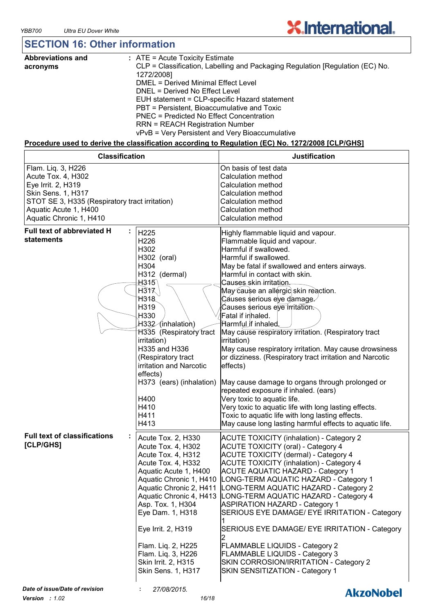## **SECTION 16: Other information**

| <b>Abbreviations and</b> | : ATE = Acute Toxicity Estimate                                               |
|--------------------------|-------------------------------------------------------------------------------|
| acronyms                 | CLP = Classification, Labelling and Packaging Regulation [Regulation (EC) No. |
|                          | 1272/2008]                                                                    |
|                          | DMEL = Derived Minimal Effect Level                                           |
|                          | DNEL = Derived No Effect Level                                                |
|                          | EUH statement = CLP-specific Hazard statement                                 |
|                          | PBT = Persistent, Bioaccumulative and Toxic                                   |
|                          | PNEC = Predicted No Effect Concentration                                      |
|                          | <b>RRN = REACH Registration Number</b>                                        |
|                          | vPvB = Very Persistent and Very Bioaccumulative                               |

#### **Procedure used to derive the classification according to Regulation (EC) No. 1272/2008 [CLP/GHS]**

| <b>Classification</b>                                                                                                                                                                      |                                                                                                                                                                                                                                                                                                                                                        | <b>Justification</b>                                                                                                                                                                                                                                                                                                                                                                                                                                                                                                                                                                                                                                                                                                                                                                                                                                                                             |
|--------------------------------------------------------------------------------------------------------------------------------------------------------------------------------------------|--------------------------------------------------------------------------------------------------------------------------------------------------------------------------------------------------------------------------------------------------------------------------------------------------------------------------------------------------------|--------------------------------------------------------------------------------------------------------------------------------------------------------------------------------------------------------------------------------------------------------------------------------------------------------------------------------------------------------------------------------------------------------------------------------------------------------------------------------------------------------------------------------------------------------------------------------------------------------------------------------------------------------------------------------------------------------------------------------------------------------------------------------------------------------------------------------------------------------------------------------------------------|
| Flam. Liq. 3, H226<br>Acute Tox. 4, H302<br>Eye Irrit. 2, H319<br>Skin Sens. 1, H317<br>STOT SE 3, H335 (Respiratory tract irritation)<br>Aquatic Acute 1, H400<br>Aquatic Chronic 1, H410 |                                                                                                                                                                                                                                                                                                                                                        | On basis of test data<br>Calculation method<br><b>Calculation method</b><br>Calculation method<br>Calculation method<br><b>Calculation method</b><br><b>Calculation method</b>                                                                                                                                                                                                                                                                                                                                                                                                                                                                                                                                                                                                                                                                                                                   |
| <b>Full text of abbreviated H</b><br>statements                                                                                                                                            | H225<br>H226<br>H302<br>H302 (oral)<br>H304<br>H312 (dermal)<br>H315<br>H317<br>H318.<br>H319<br>H330<br>H332 (inhalation)<br>H335 (Respiratory tract<br>irritation)<br>H335 and H336<br>(Respiratory tract<br>irritation and Narcotic<br>effects)<br>H373 (ears) (inhalation)<br>H400<br>H410<br>H411<br>H413                                         | Highly flammable liquid and vapour.<br>Flammable liquid and vapour.<br>Harmful if swallowed.<br>Harmful if swallowed.<br>May be fatal if swallowed and enters airways.<br>Harmful in contact with skin.<br>Causes skin irritation.<br>May cause an allergic skin reaction.<br>Cáuses serious eye damage<br>Causes serious eve irritation.<br>Fatal if inhaled.<br>Harmful if inhaled.<br>May cause respiratory irritation. (Respiratory tract<br>irritation)<br>May cause respiratory irritation. May cause drowsiness<br>or dizziness. (Respiratory tract irritation and Narcotic<br>effects)<br>May cause damage to organs through prolonged or<br>repeated exposure if inhaled. (ears)<br>Very toxic to aquatic life.<br>Very toxic to aquatic life with long lasting effects.<br>Toxic to aquatic life with long lasting effects.<br>May cause long lasting harmful effects to aquatic life. |
| <b>Full text of classifications</b><br>[CLP/GHS]                                                                                                                                           | Acute Tox. 2, H330<br>Acute Tox. 4, H302<br>Acute Tox. 4, H312<br>Acute Tox. 4, H332<br>Aquatic Acute 1, H400<br>Aquatic Chronic 1, H410<br>Aquatic Chronic 2, H411<br>Aquatic Chronic 4, H413<br>Asp. Tox. 1, H304<br>Eye Dam. 1, H318<br>Eye Irrit. 2, H319<br>Flam. Lig. 2, H225<br>Flam. Liq. 3, H226<br>Skin Irrit. 2, H315<br>Skin Sens. 1, H317 | <b>ACUTE TOXICITY (inhalation) - Category 2</b><br><b>ACUTE TOXICITY (oral) - Category 4</b><br>ACUTE TOXICITY (dermal) - Category 4<br><b>ACUTE TOXICITY (inhalation) - Category 4</b><br><b>ACUTE AQUATIC HAZARD - Category 1</b><br>LONG-TERM AQUATIC HAZARD - Category 1<br>LONG-TERM AQUATIC HAZARD - Category 2<br>LONG-TERM AQUATIC HAZARD - Category 4<br><b>ASPIRATION HAZARD - Category 1</b><br>SERIOUS EYE DAMAGE/ EYE IRRITATION - Category<br>SERIOUS EYE DAMAGE/ EYE IRRITATION - Category<br><b>FLAMMABLE LIQUIDS - Category 2</b><br>FLAMMABLE LIQUIDS - Category 3<br>SKIN CORROSION/IRRITATION - Category 2<br>SKIN SENSITIZATION - Category 1                                                                                                                                                                                                                                |
| Date of issue/Date of revision                                                                                                                                                             | 27/08/2015.                                                                                                                                                                                                                                                                                                                                            | <b>AkzoNobel</b>                                                                                                                                                                                                                                                                                                                                                                                                                                                                                                                                                                                                                                                                                                                                                                                                                                                                                 |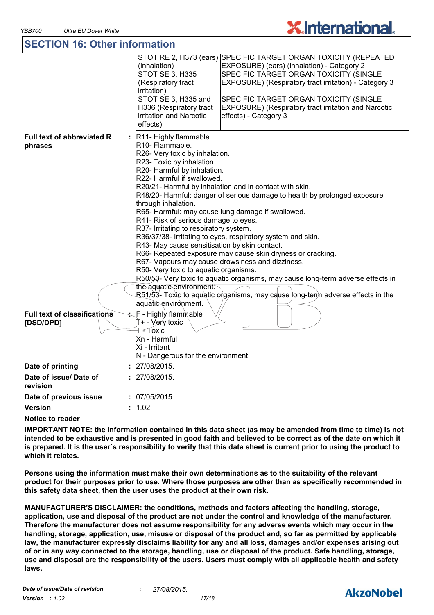## **SECTION 16: Other information**

|                                                  | STOT RE 2, H373 (ears) SPECIFIC TARGET ORGAN TOXICITY (REPEATED<br>(inhalation)<br>EXPOSURE) (ears) (inhalation) - Category 2<br>STOT SE 3, H335<br>SPECIFIC TARGET ORGAN TOXICITY (SINGLE<br>EXPOSURE) (Respiratory tract irritation) - Category 3<br>(Respiratory tract<br>irritation)<br>STOT SE 3, H335 and<br>SPECIFIC TARGET ORGAN TOXICITY (SINGLE<br><b>EXPOSURE)</b> (Respiratory tract irritation and Narcotic<br>H336 (Respiratory tract<br>irritation and Narcotic<br>effects) - Category 3<br>effects)                                                                                                                                                                                                                                                                                                                         |
|--------------------------------------------------|---------------------------------------------------------------------------------------------------------------------------------------------------------------------------------------------------------------------------------------------------------------------------------------------------------------------------------------------------------------------------------------------------------------------------------------------------------------------------------------------------------------------------------------------------------------------------------------------------------------------------------------------------------------------------------------------------------------------------------------------------------------------------------------------------------------------------------------------|
| <b>Full text of abbreviated R</b><br>phrases     | : R11- Highly flammable.<br>R10- Flammable.<br>R26- Very toxic by inhalation.<br>R23- Toxic by inhalation.<br>R20- Harmful by inhalation.<br>R22- Harmful if swallowed.<br>R20/21- Harmful by inhalation and in contact with skin.<br>R48/20- Harmful: danger of serious damage to health by prolonged exposure<br>through inhalation.<br>R65- Harmful: may cause lung damage if swallowed.<br>R41- Risk of serious damage to eyes.<br>R37- Irritating to respiratory system.<br>R36/37/38- Irritating to eyes, respiratory system and skin.<br>R43- May cause sensitisation by skin contact.<br>R66- Repeated exposure may cause skin dryness or cracking.<br>R67- Vapours may cause drowsiness and dizziness.<br>R50- Very toxic to aquatic organisms.<br>R50/53- Very toxic to aquatic organisms, may cause long-term adverse effects in |
|                                                  | the aquatic environment.<br>R51/53- Toxic to aquatic organisms, may cause long-term adverse effects in the<br>aquatic environment.                                                                                                                                                                                                                                                                                                                                                                                                                                                                                                                                                                                                                                                                                                          |
| <b>Full text of classifications</b><br>[DSD/DPD] | ุ F - Highly flammุable<br>T+ - Very toxic<br>T-Toxic<br>Xn - Harmful<br>Xi - Irritant<br>N - Dangerous for the environment                                                                                                                                                                                                                                                                                                                                                                                                                                                                                                                                                                                                                                                                                                                 |
| Date of printing                                 | 27/08/2015.                                                                                                                                                                                                                                                                                                                                                                                                                                                                                                                                                                                                                                                                                                                                                                                                                                 |
| Date of issue/ Date of<br>revision               | : 27/08/2015.                                                                                                                                                                                                                                                                                                                                                                                                                                                                                                                                                                                                                                                                                                                                                                                                                               |
| Date of previous issue                           | : 07/05/2015.                                                                                                                                                                                                                                                                                                                                                                                                                                                                                                                                                                                                                                                                                                                                                                                                                               |
| Version                                          | : 1.02                                                                                                                                                                                                                                                                                                                                                                                                                                                                                                                                                                                                                                                                                                                                                                                                                                      |
|                                                  |                                                                                                                                                                                                                                                                                                                                                                                                                                                                                                                                                                                                                                                                                                                                                                                                                                             |

### **Notice to reader**

**IMPORTANT NOTE: the information contained in this data sheet (as may be amended from time to time) is not intended to be exhaustive and is presented in good faith and believed to be correct as of the date on which it is prepared. It is the user´s responsibility to verify that this data sheet is current prior to using the product to which it relates.**

**Persons using the information must make their own determinations as to the suitability of the relevant product for their purposes prior to use. Where those purposes are other than as specifically recommended in this safety data sheet, then the user uses the product at their own risk.**

**MANUFACTURER'S DISCLAIMER: the conditions, methods and factors affecting the handling, storage, application, use and disposal of the product are not under the control and knowledge of the manufacturer. Therefore the manufacturer does not assume responsibility for any adverse events which may occur in the handling, storage, application, use, misuse or disposal of the product and, so far as permitted by applicable law, the manufacturer expressly disclaims liability for any and all loss, damages and/or expenses arising out of or in any way connected to the storage, handling, use or disposal of the product. Safe handling, storage, use and disposal are the responsibility of the users. Users must comply with all applicable health and safety laws.**